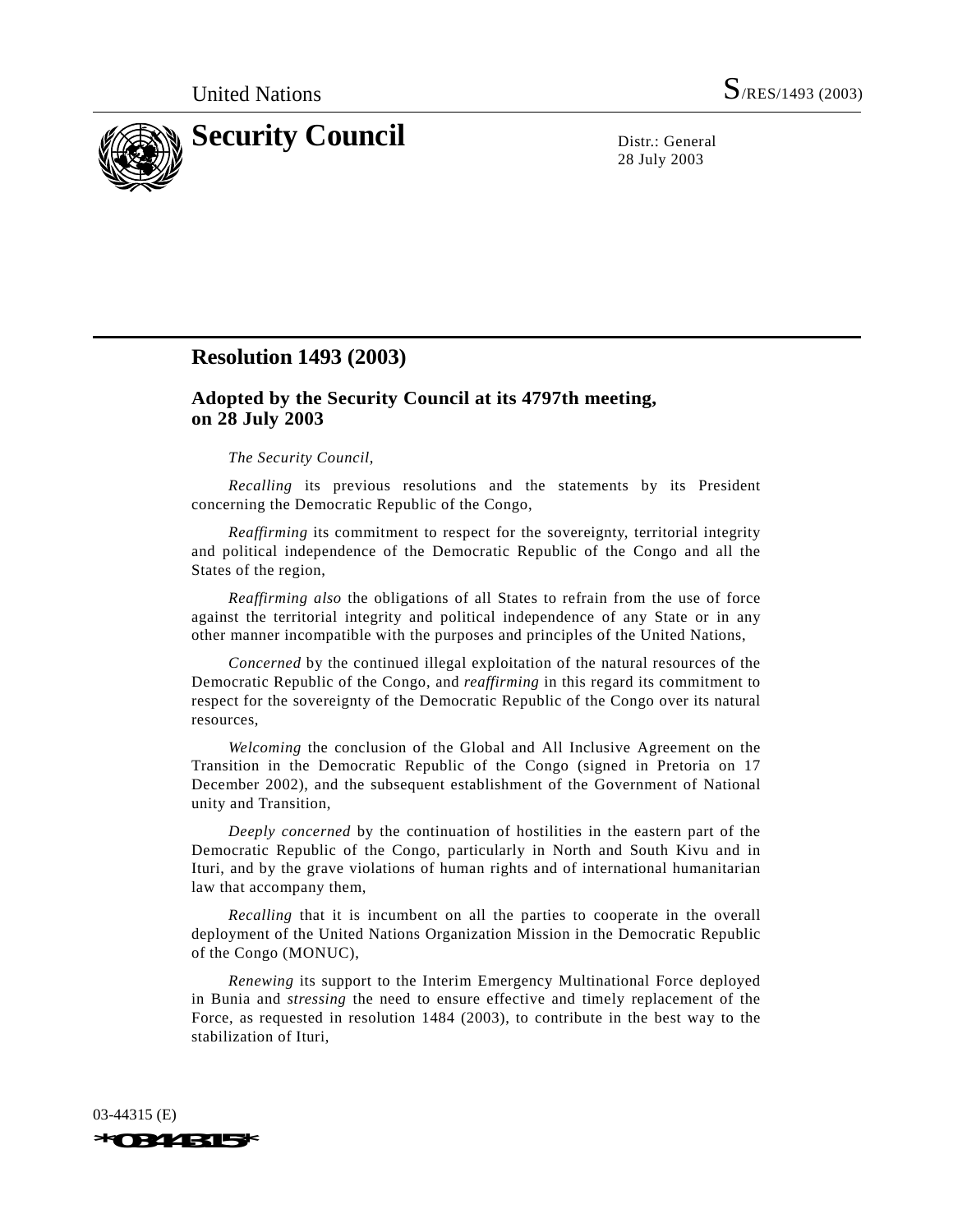

28 July 2003

## **Resolution 1493 (2003)**

## **Adopted by the Security Council at its 4797th meeting, on 28 July 2003**

## *The Security Council*,

*Recalling* its previous resolutions and the statements by its President concerning the Democratic Republic of the Congo,

*Reaffirming* its commitment to respect for the sovereignty, territorial integrity and political independence of the Democratic Republic of the Congo and all the States of the region,

*Reaffirming also* the obligations of all States to refrain from the use of force against the territorial integrity and political independence of any State or in any other manner incompatible with the purposes and principles of the United Nations,

*Concerned* by the continued illegal exploitation of the natural resources of the Democratic Republic of the Congo, and *reaffirming* in this regard its commitment to respect for the sovereignty of the Democratic Republic of the Congo over its natural resources,

*Welcoming* the conclusion of the Global and All Inclusive Agreement on the Transition in the Democratic Republic of the Congo (signed in Pretoria on 17 December 2002), and the subsequent establishment of the Government of National unity and Transition,

*Deeply concerned* by the continuation of hostilities in the eastern part of the Democratic Republic of the Congo, particularly in North and South Kivu and in Ituri, and by the grave violations of human rights and of international humanitarian law that accompany them,

*Recalling* that it is incumbent on all the parties to cooperate in the overall deployment of the United Nations Organization Mission in the Democratic Republic of the Congo (MONUC),

*Renewing* its support to the Interim Emergency Multinational Force deployed in Bunia and *stressing* the need to ensure effective and timely replacement of the Force, as requested in resolution 1484 (2003), to contribute in the best way to the stabilization of Ituri,

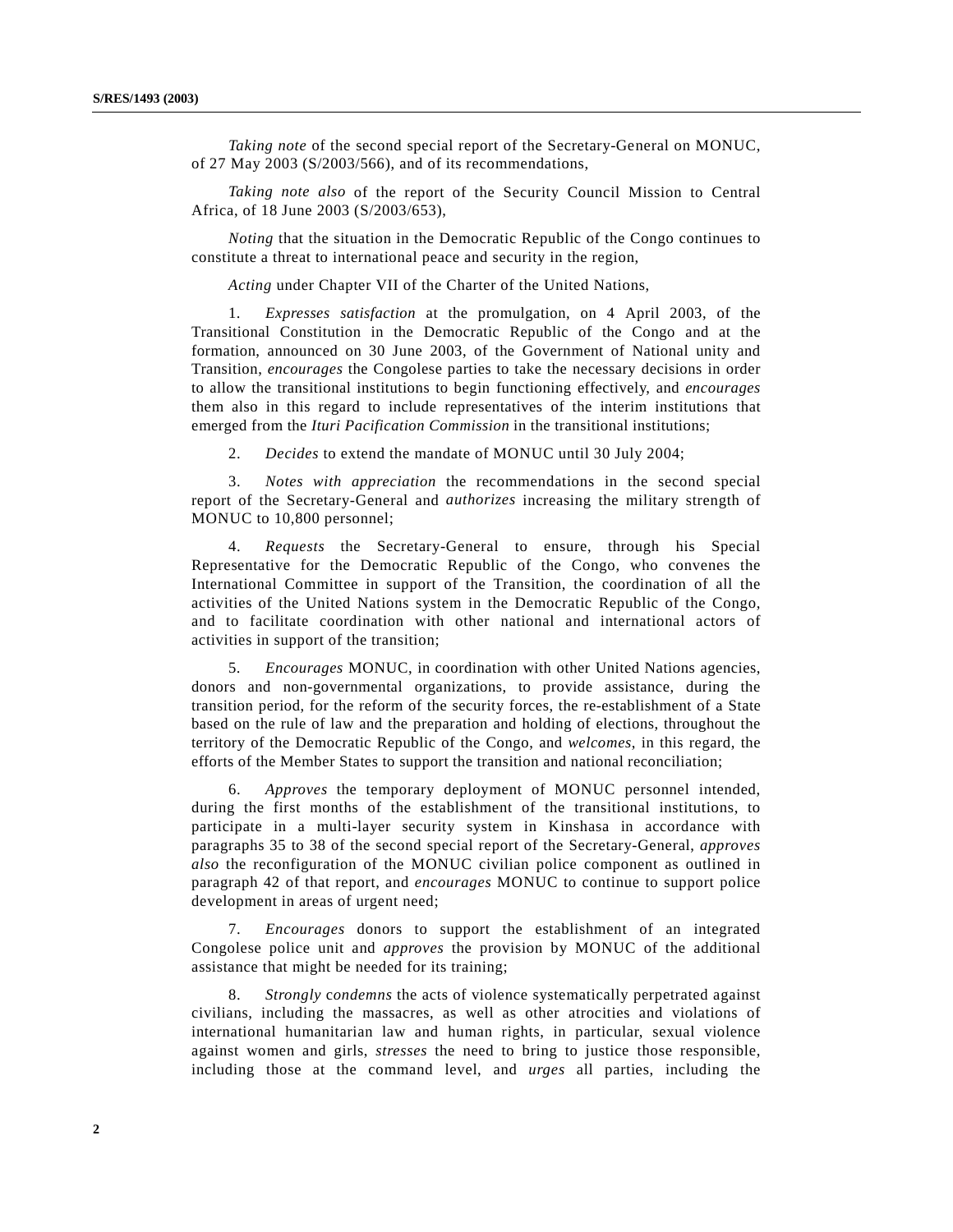*Taking note* of the second special report of the Secretary-General on MONUC, of 27 May 2003 (S/2003/566), and of its recommendations,

*Taking note also* of the report of the Security Council Mission to Central Africa, of 18 June 2003 (S/2003/653),

*Noting* that the situation in the Democratic Republic of the Congo continues to constitute a threat to international peace and security in the region,

*Acting* under Chapter VII of the Charter of the United Nations,

1. *Expresses satisfaction* at the promulgation, on 4 April 2003, of the Transitional Constitution in the Democratic Republic of the Congo and at the formation, announced on 30 June 2003, of the Government of National unity and Transition, *encourages* the Congolese parties to take the necessary decisions in order to allow the transitional institutions to begin functioning effectively, and *encourages* them also in this regard to include representatives of the interim institutions that emerged from the *Ituri Pacification Commission* in the transitional institutions;

2. *Decides* to extend the mandate of MONUC until 30 July 2004;

3. *Notes with appreciation* the recommendations in the second special report of the Secretary-General and *authorizes* increasing the military strength of MONUC to 10,800 personnel;

4. *Requests* the Secretary-General to ensure, through his Special Representative for the Democratic Republic of the Congo, who convenes the International Committee in support of the Transition, the coordination of all the activities of the United Nations system in the Democratic Republic of the Congo, and to facilitate coordination with other national and international actors of activities in support of the transition;

5. *Encourages* MONUC, in coordination with other United Nations agencies, donors and non-governmental organizations, to provide assistance, during the transition period, for the reform of the security forces, the re-establishment of a State based on the rule of law and the preparation and holding of elections, throughout the territory of the Democratic Republic of the Congo, and *welcomes*, in this regard, the efforts of the Member States to support the transition and national reconciliation;

6. *Approves* the temporary deployment of MONUC personnel intended, during the first months of the establishment of the transitional institutions, to participate in a multi-layer security system in Kinshasa in accordance with paragraphs 35 to 38 of the second special report of the Secretary-General, *approves also* the reconfiguration of the MONUC civilian police component as outlined in paragraph 42 of that report, and *encourages* MONUC to continue to support police development in areas of urgent need;

7. *Encourages* donors to support the establishment of an integrated Congolese police unit and *approves* the provision by MONUC of the additional assistance that might be needed for its training;

8. *Strongly* c*ondemns* the acts of violence systematically perpetrated against civilians, including the massacres, as well as other atrocities and violations of international humanitarian law and human rights, in particular, sexual violence against women and girls, *stresses* the need to bring to justice those responsible, including those at the command level, and *urges* all parties, including the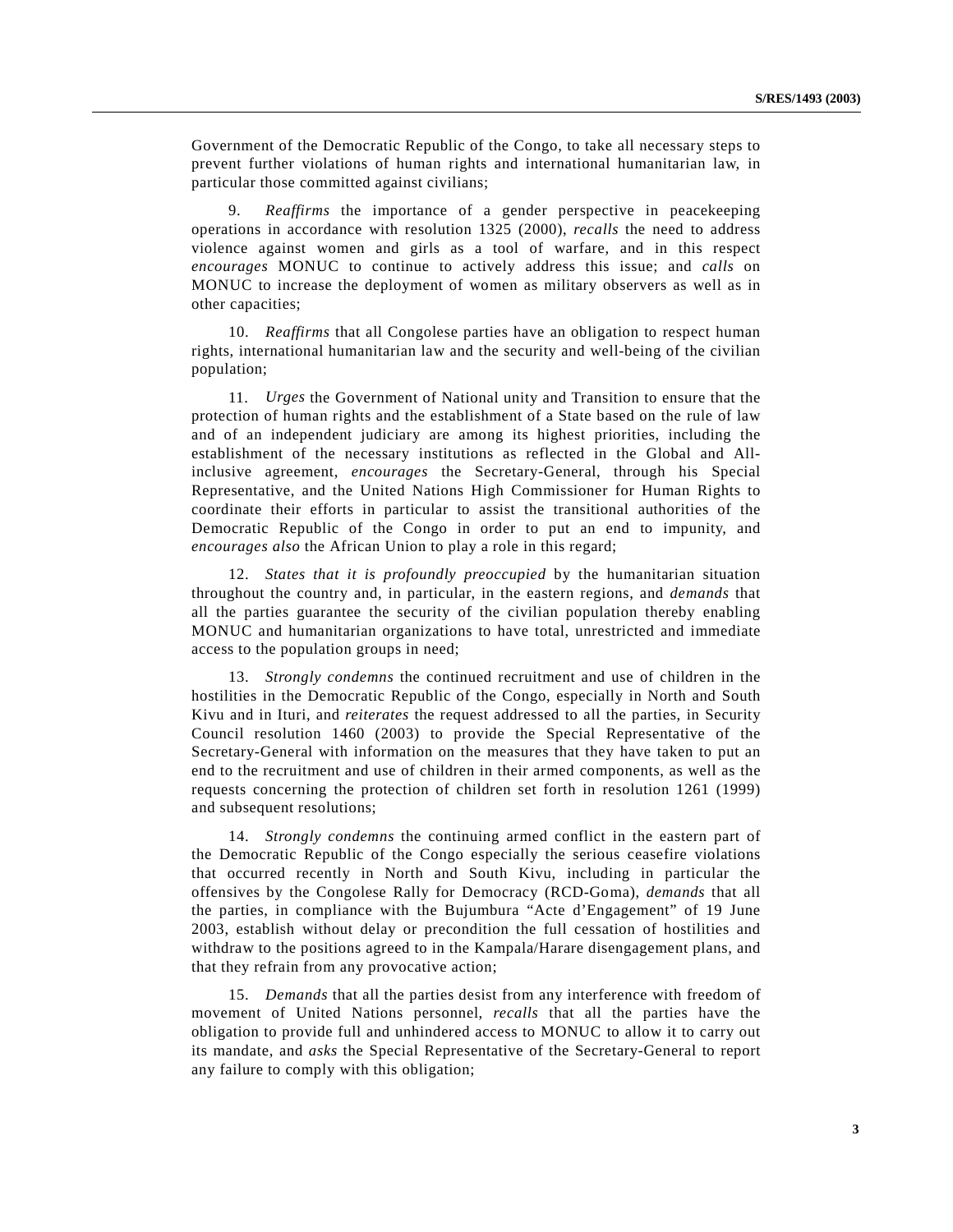Government of the Democratic Republic of the Congo, to take all necessary steps to prevent further violations of human rights and international humanitarian law, in particular those committed against civilians;

9. *Reaffirms* the importance of a gender perspective in peacekeeping operations in accordance with resolution 1325 (2000), *recalls* the need to address violence against women and girls as a tool of warfare, and in this respect *encourages* MONUC to continue to actively address this issue; and *calls* on MONUC to increase the deployment of women as military observers as well as in other capacities;

10. *Reaffirms* that all Congolese parties have an obligation to respect human rights, international humanitarian law and the security and well-being of the civilian population;

11. *Urges* the Government of National unity and Transition to ensure that the protection of human rights and the establishment of a State based on the rule of law and of an independent judiciary are among its highest priorities, including the establishment of the necessary institutions as reflected in the Global and Allinclusive agreement, *encourages* the Secretary-General, through his Special Representative, and the United Nations High Commissioner for Human Rights to coordinate their efforts in particular to assist the transitional authorities of the Democratic Republic of the Congo in order to put an end to impunity, and *encourages also* the African Union to play a role in this regard;

12. *States that it is profoundly preoccupied* by the humanitarian situation throughout the country and, in particular, in the eastern regions, and *demands* that all the parties guarantee the security of the civilian population thereby enabling MONUC and humanitarian organizations to have total, unrestricted and immediate access to the population groups in need;

13. *Strongly condemns* the continued recruitment and use of children in the hostilities in the Democratic Republic of the Congo, especially in North and South Kivu and in Ituri, and *reiterates* the request addressed to all the parties, in Security Council resolution 1460 (2003) to provide the Special Representative of the Secretary-General with information on the measures that they have taken to put an end to the recruitment and use of children in their armed components, as well as the requests concerning the protection of children set forth in resolution 1261 (1999) and subsequent resolutions;

14. *Strongly condemns* the continuing armed conflict in the eastern part of the Democratic Republic of the Congo especially the serious ceasefire violations that occurred recently in North and South Kivu, including in particular the offensives by the Congolese Rally for Democracy (RCD-Goma), *demands* that all the parties, in compliance with the Bujumbura "Acte d'Engagement" of 19 June 2003, establish without delay or precondition the full cessation of hostilities and withdraw to the positions agreed to in the Kampala/Harare disengagement plans, and that they refrain from any provocative action;

15. *Demands* that all the parties desist from any interference with freedom of movement of United Nations personnel, *recalls* that all the parties have the obligation to provide full and unhindered access to MONUC to allow it to carry out its mandate, and *asks* the Special Representative of the Secretary-General to report any failure to comply with this obligation;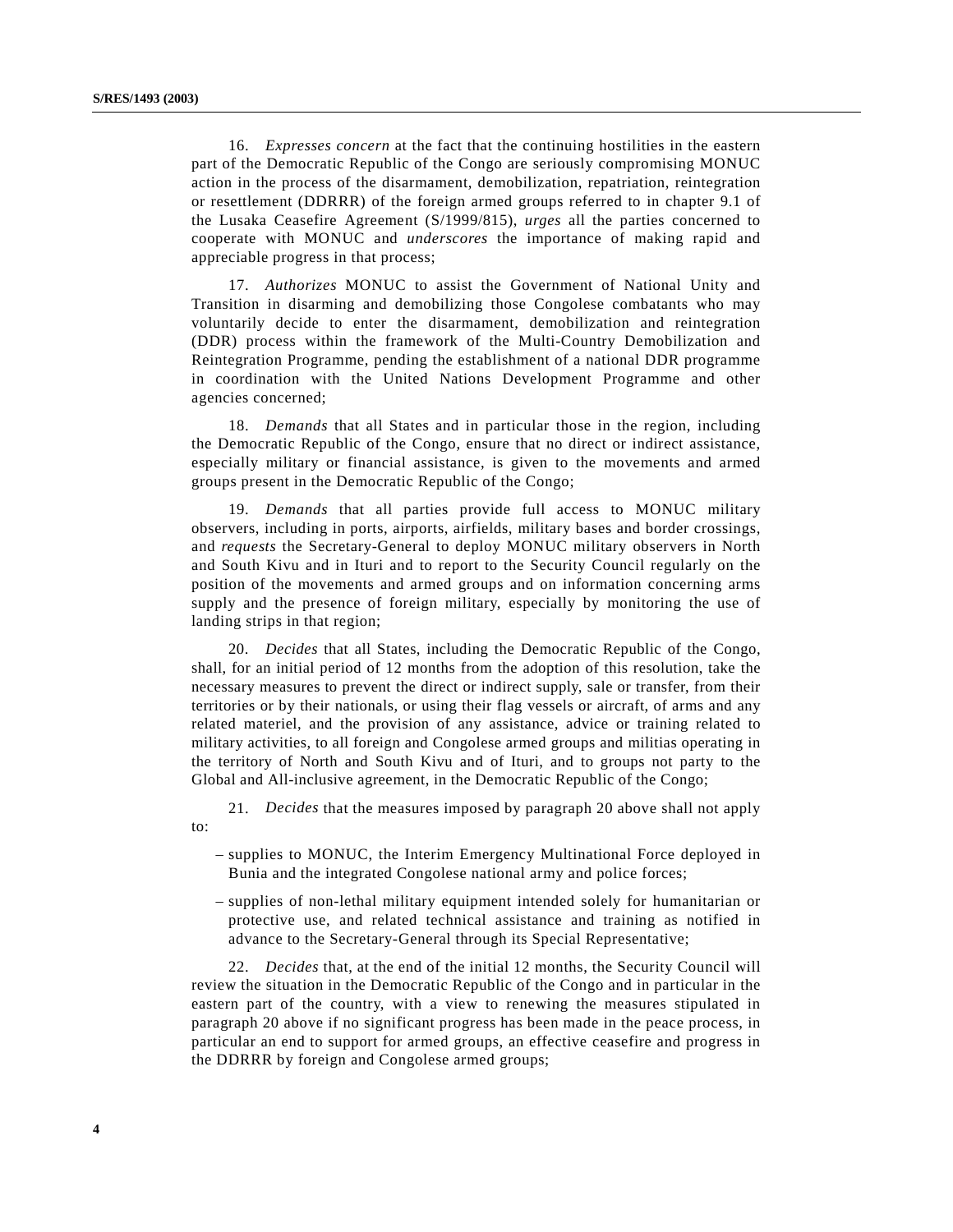16. *Expresses concern* at the fact that the continuing hostilities in the eastern part of the Democratic Republic of the Congo are seriously compromising MONUC action in the process of the disarmament, demobilization, repatriation, reintegration or resettlement (DDRRR) of the foreign armed groups referred to in chapter 9.1 of the Lusaka Ceasefire Agreement (S/1999/815), *urges* all the parties concerned to cooperate with MONUC and *underscores* the importance of making rapid and appreciable progress in that process;

17. *Authorizes* MONUC to assist the Government of National Unity and Transition in disarming and demobilizing those Congolese combatants who may voluntarily decide to enter the disarmament, demobilization and reintegration (DDR) process within the framework of the Multi-Country Demobilization and Reintegration Programme, pending the establishment of a national DDR programme in coordination with the United Nations Development Programme and other agencies concerned;

18. *Demands* that all States and in particular those in the region, including the Democratic Republic of the Congo, ensure that no direct or indirect assistance, especially military or financial assistance, is given to the movements and armed groups present in the Democratic Republic of the Congo;

19. *Demands* that all parties provide full access to MONUC military observers, including in ports, airports, airfields, military bases and border crossings, and *requests* the Secretary-General to deploy MONUC military observers in North and South Kivu and in Ituri and to report to the Security Council regularly on the position of the movements and armed groups and on information concerning arms supply and the presence of foreign military, especially by monitoring the use of landing strips in that region;

20. *Decides* that all States, including the Democratic Republic of the Congo, shall, for an initial period of 12 months from the adoption of this resolution, take the necessary measures to prevent the direct or indirect supply, sale or transfer, from their territories or by their nationals, or using their flag vessels or aircraft, of arms and any related materiel, and the provision of any assistance, advice or training related to military activities, to all foreign and Congolese armed groups and militias operating in the territory of North and South Kivu and of Ituri, and to groups not party to the Global and All-inclusive agreement, in the Democratic Republic of the Congo;

21. *Decides* that the measures imposed by paragraph 20 above shall not apply to:

- supplies to MONUC, the Interim Emergency Multinational Force deployed in Bunia and the integrated Congolese national army and police forces;
- supplies of non-lethal military equipment intended solely for humanitarian or protective use, and related technical assistance and training as notified in advance to the Secretary-General through its Special Representative;

22. *Decides* that, at the end of the initial 12 months, the Security Council will review the situation in the Democratic Republic of the Congo and in particular in the eastern part of the country, with a view to renewing the measures stipulated in paragraph 20 above if no significant progress has been made in the peace process, in particular an end to support for armed groups, an effective ceasefire and progress in the DDRRR by foreign and Congolese armed groups;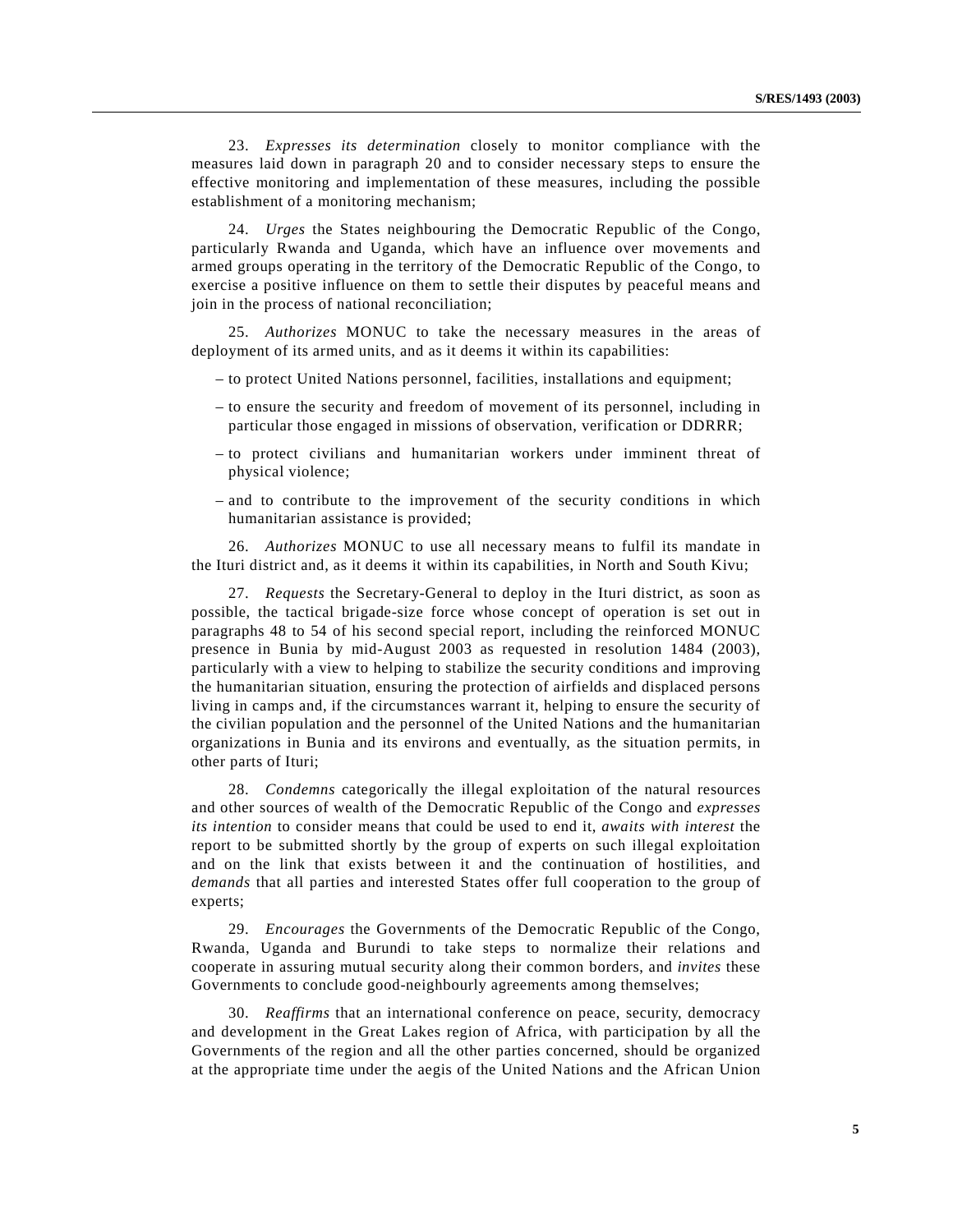23. *Expresses its determination* closely to monitor compliance with the measures laid down in paragraph 20 and to consider necessary steps to ensure the effective monitoring and implementation of these measures, including the possible establishment of a monitoring mechanism;

24. *Urges* the States neighbouring the Democratic Republic of the Congo, particularly Rwanda and Uganda, which have an influence over movements and armed groups operating in the territory of the Democratic Republic of the Congo, to exercise a positive influence on them to settle their disputes by peaceful means and join in the process of national reconciliation;

25. *Authorizes* MONUC to take the necessary measures in the areas of deployment of its armed units, and as it deems it within its capabilities:

- to protect United Nations personnel, facilities, installations and equipment;
- to ensure the security and freedom of movement of its personnel, including in particular those engaged in missions of observation, verification or DDRRR;
- to protect civilians and humanitarian workers under imminent threat of physical violence;
- and to contribute to the improvement of the security conditions in which humanitarian assistance is provided;

26. *Authorizes* MONUC to use all necessary means to fulfil its mandate in the Ituri district and, as it deems it within its capabilities, in North and South Kivu;

27. *Requests* the Secretary-General to deploy in the Ituri district, as soon as possible, the tactical brigade-size force whose concept of operation is set out in paragraphs 48 to 54 of his second special report, including the reinforced MONUC presence in Bunia by mid-August 2003 as requested in resolution 1484 (2003), particularly with a view to helping to stabilize the security conditions and improving the humanitarian situation, ensuring the protection of airfields and displaced persons living in camps and, if the circumstances warrant it, helping to ensure the security of the civilian population and the personnel of the United Nations and the humanitarian organizations in Bunia and its environs and eventually, as the situation permits, in other parts of Ituri;

28. *Condemns* categorically the illegal exploitation of the natural resources and other sources of wealth of the Democratic Republic of the Congo and *expresses its intention* to consider means that could be used to end it, *awaits with interest* the report to be submitted shortly by the group of experts on such illegal exploitation and on the link that exists between it and the continuation of hostilities, and *demands* that all parties and interested States offer full cooperation to the group of experts;

29. *Encourages* the Governments of the Democratic Republic of the Congo, Rwanda, Uganda and Burundi to take steps to normalize their relations and cooperate in assuring mutual security along their common borders, and *invites* these Governments to conclude good-neighbourly agreements among themselves;

30. *Reaffirms* that an international conference on peace, security, democracy and development in the Great Lakes region of Africa, with participation by all the Governments of the region and all the other parties concerned, should be organized at the appropriate time under the aegis of the United Nations and the African Union